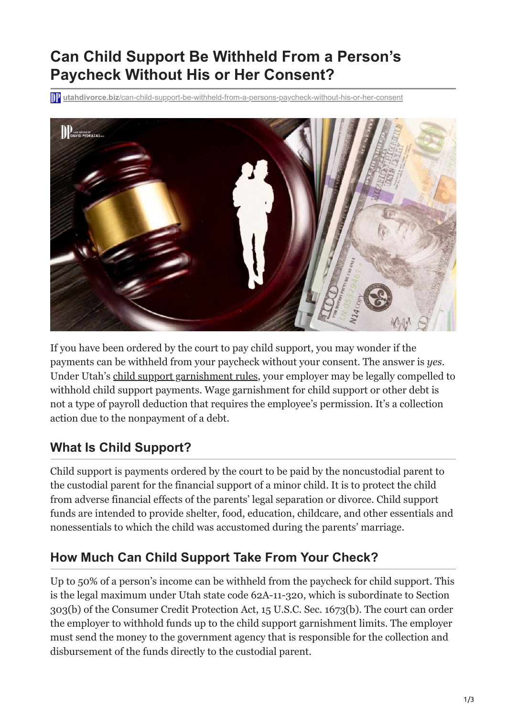# **Can Child Support Be Withheld From a Person's Paycheck Without His or Her Consent?**

**utahdivorce.biz**[/can-child-support-be-withheld-from-a-persons-paycheck-without-his-or-her-consent](https://utahdivorce.biz/can-child-support-be-withheld-from-a-persons-paycheck-without-his-or-her-consent/)



If you have been ordered by the court to pay child support, you may wonder if the payments can be withheld from your paycheck without your consent. The answer is *yes*. Under Utah's [child support garnishment rules,](https://www.utcourts.gov/resources/forms/garnishment/rights.html) your employer may be legally compelled to withhold child support payments. Wage garnishment for child support or other debt is not a type of payroll deduction that requires the employee's permission. It's a collection action due to the nonpayment of a debt.

# **What Is Child Support?**

Child support is payments ordered by the court to be paid by the noncustodial parent to the custodial parent for the financial support of a minor child. It is to protect the child from adverse financial effects of the parents' legal separation or divorce. Child support funds are intended to provide shelter, food, education, childcare, and other essentials and nonessentials to which the child was accustomed during the parents' marriage.

# **How Much Can Child Support Take From Your Check?**

Up to 50% of a person's income can be withheld from the paycheck for child support. This is the legal maximum under Utah state code 62A-11-320, which is subordinate to Section 303(b) of the Consumer Credit Protection Act, 15 U.S.C. Sec. 1673(b). The court can order the employer to withhold funds up to the child support garnishment limits. The employer must send the money to the government agency that is responsible for the collection and disbursement of the funds directly to the custodial parent.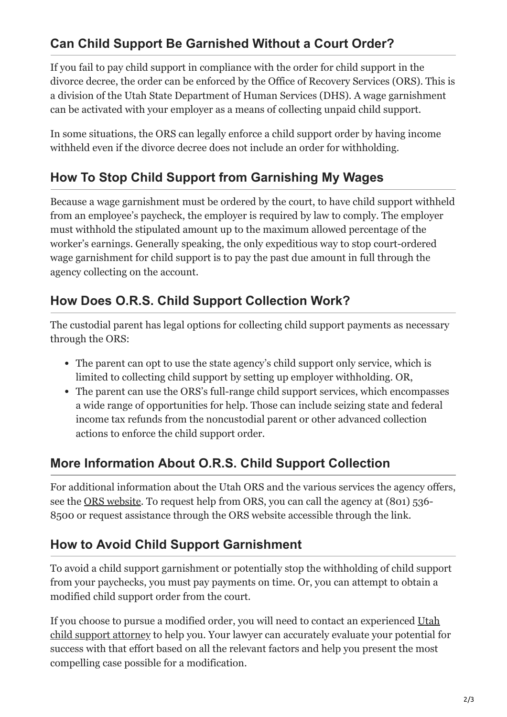# **Can Child Support Be Garnished Without a Court Order?**

If you fail to pay child support in compliance with the order for child support in the divorce decree, the order can be enforced by the Office of Recovery Services (ORS). This is a division of the Utah State Department of Human Services (DHS). A wage garnishment can be activated with your employer as a means of collecting unpaid child support.

In some situations, the ORS can legally enforce a child support order by having income withheld even if the divorce decree does not include an order for withholding.

## **How To Stop Child Support from Garnishing My Wages**

Because a wage garnishment must be ordered by the court, to have child support withheld from an employee's paycheck, the employer is required by law to comply. The employer must withhold the stipulated amount up to the maximum allowed percentage of the worker's earnings. Generally speaking, the only expeditious way to stop court-ordered wage garnishment for child support is to pay the past due amount in full through the agency collecting on the account.

## **How Does O.R.S. Child Support Collection Work?**

The custodial parent has legal options for collecting child support payments as necessary through the ORS:

- The parent can opt to use the state agency's child support only service, which is limited to collecting child support by setting up employer withholding. OR,
- The parent can use the ORS's full-range child support services, which encompasses a wide range of opportunities for help. Those can include seizing state and federal income tax refunds from the noncustodial parent or other advanced collection actions to enforce the child support order.

#### **More Information About O.R.S. Child Support Collection**

For additional information about the Utah ORS and the various services the agency offers, see the <u>ORS website</u>. To request help from ORS, you can call the agency at (801) 536-8500 or request assistance through the ORS website accessible through the link.

## **How to Avoid Child Support Garnishment**

To avoid a child support garnishment or potentially stop the withholding of child support from your paychecks, you must pay payments on time. Or, you can attempt to obtain a modified child support order from the court.

If you choose to pursue a modified order, you will need to contact an experienced Utah [child support attorney to help you. Your lawyer can accurately evaluate your potential f](https://utahdivorce.biz/Child-Support/index.html)or success with that effort based on all the relevant factors and help you present the most compelling case possible for a modification.